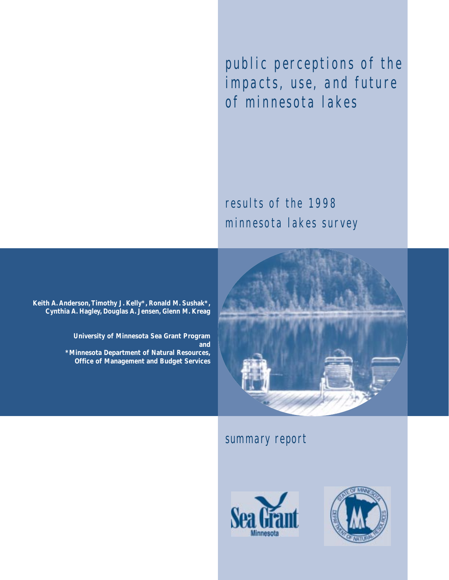public perceptions of the impacts, use, and future of minnesota lakes

results of the 1998 minnesota lakes survey

**Keith A. Anderson,Timothy J. Kelly\*, Ronald M. Sushak\*, Cynthia A. Hagley, Douglas A. Jensen, Glenn M. Kreag**

> **University of Minnesota Sea Grant Program and \*Minnesota Department of Natural Resources, Office of Management and Budget Services**



### summary report



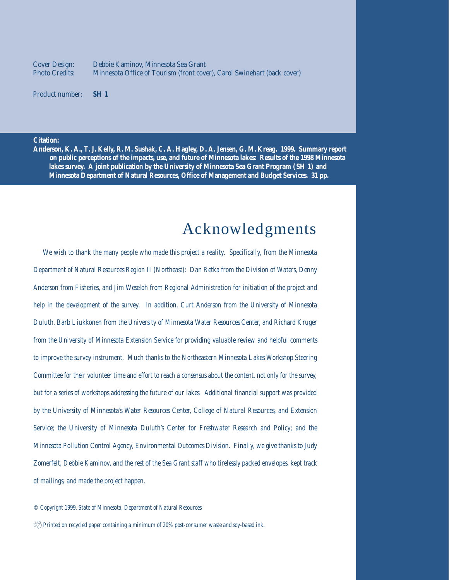Debbie Kaminov, Minnesota Sea Grant Minnesota Office of Tourism (front cover), Carol Swinehart (back cover) Cover Design: Photo Credits:

**SH 1** Product number:

#### **Citation:**

**Anderson, K. A., T. J. Kelly, R. M. Sushak, C. A. Hagley, D. A. Jensen, G. M. Kreag. 1999. Summary report on public perceptions of the impacts, use, and future of Minnesota lakes: Results of the 1998 Minnesota lakes survey. A joint publication by the University of Minnesota Sea Grant Program (SH 1) and Minnesota Department of Natural Resources, Office of Management and Budget Services. 31 pp.**

## Acknowledgments

*We wish to thank the many people who made this project a reality. Specifically, from the Minnesota Department of Natural Resources Region II (Northeast): Dan Retka from the Division of Waters, Denny Anderson from Fisheries, and Jim Weseloh from Regional Administration for initiation of the project and help in the development of the survey. In addition, Curt Anderson from the University of Minnesota Duluth, Barb Liukkonen from the University of Minnesota Water Resources Center, and Richard Kruger from the University of Minnesota Extension Service for providing valuable review and helpful comments to improve the survey instrument. Much thanks to the Northeastern Minnesota Lakes Workshop Steering Committee for their volunteer time and effort to reach a consensus about the content, not only for the survey, but for a series of workshops addressing the future of our lakes. Additional financial support was provided by the University of Minnesota's Water Resources Center, College of Natural Resources, and Extension Service; the University of Minnesota Duluth's Center for Freshwater Research and Policy; and the Minnesota Pollution Control Agency, Environmental Outcomes Division. Finally, we give thanks to Judy Zomerfelt, Debbie Kaminov, and the rest of the Sea Grant staff who tirelessly packed envelopes, kept track of mailings, and made the project happen.*

*© Copyright 1999, State of Minnesota, Department of Natural Resources*

 $\overset{\wedge 2}{\otimes}$  Printed on recycled paper containing a minimum of 20% post-consumer waste and soy-based ink.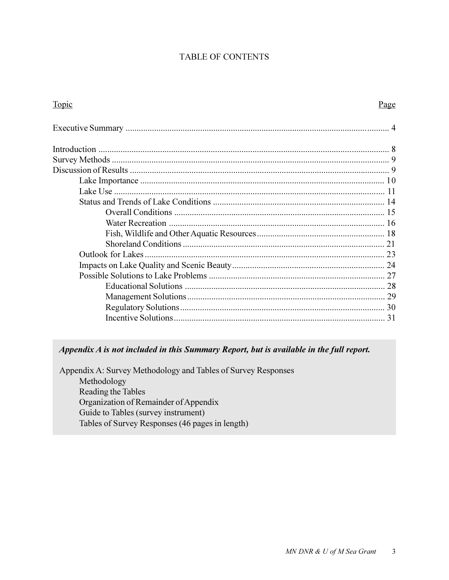#### **TABLE OF CONTENTS**

| <b>Topic</b> | <u>Page</u> |
|--------------|-------------|
|              |             |
|              |             |
|              |             |
|              |             |
|              |             |
|              |             |
|              |             |
|              |             |
|              |             |
|              |             |
|              |             |
|              |             |
|              |             |
|              |             |
|              |             |
|              |             |
|              |             |
|              |             |

### Appendix A is not included in this Summary Report, but is available in the full report.

Appendix A: Survey Methodology and Tables of Survey Responses Methodology Reading the Tables Organization of Remainder of Appendix Guide to Tables (survey instrument) Tables of Survey Responses (46 pages in length)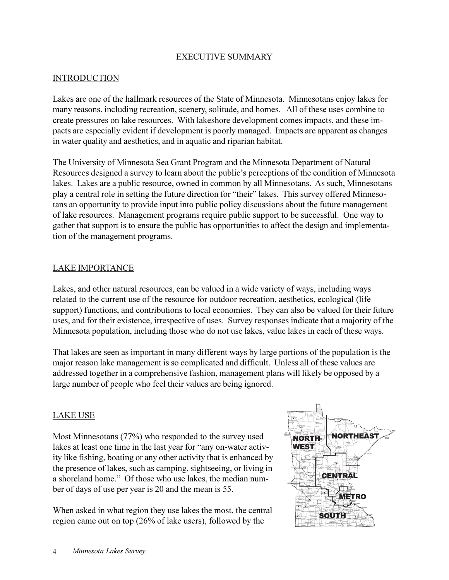#### EXECUTIVE SUMMARY

#### **INTRODUCTION**

Lakes are one of the hallmark resources of the State of Minnesota. Minnesotans enjoy lakes for many reasons, including recreation, scenery, solitude, and homes. All of these uses combine to create pressures on lake resources. With lakeshore development comes impacts, and these impacts are especially evident if development is poorly managed. Impacts are apparent as changes in water quality and aesthetics, and in aquatic and riparian habitat.

The University of Minnesota Sea Grant Program and the Minnesota Department of Natural Resources designed a survey to learn about the public's perceptions of the condition of Minnesota lakes. Lakes are a public resource, owned in common by all Minnesotans. As such, Minnesotans play a central role in setting the future direction for "their" lakes. This survey offered Minnesotans an opportunity to provide input into public policy discussions about the future management of lake resources. Management programs require public support to be successful. One way to gather that support is to ensure the public has opportunities to affect the design and implementation of the management programs.

#### LAKE IMPORTANCE

Lakes, and other natural resources, can be valued in a wide variety of ways, including ways related to the current use of the resource for outdoor recreation, aesthetics, ecological (life support) functions, and contributions to local economies. They can also be valued for their future uses, and for their existence, irrespective of uses. Survey responses indicate that a majority of the Minnesota population, including those who do not use lakes, value lakes in each of these ways.

That lakes are seen as important in many different ways by large portions of the population is the major reason lake management is so complicated and difficult. Unless all of these values are addressed together in a comprehensive fashion, management plans will likely be opposed by a large number of people who feel their values are being ignored.

#### LAKE USE

Most Minnesotans (77%) who responded to the survey used lakes at least one time in the last year for "any on-water activity like fishing, boating or any other activity that is enhanced by the presence of lakes, such as camping, sightseeing, or living in a shoreland home." Of those who use lakes, the median number of days of use per year is 20 and the mean is 55.

When asked in what region they use lakes the most, the central region came out on top (26% of lake users), followed by the

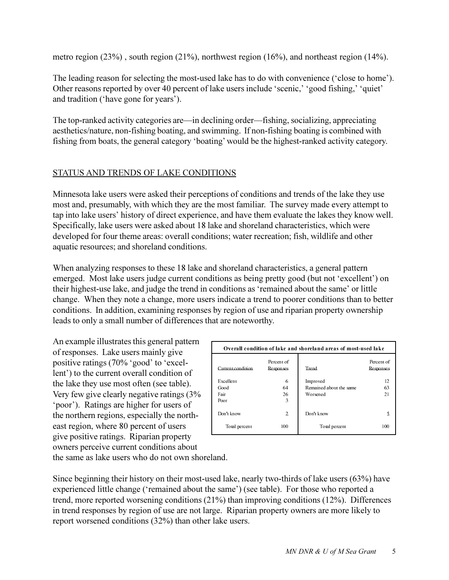metro region (23%) , south region (21%), northwest region (16%), and northeast region (14%).

The leading reason for selecting the most-used lake has to do with convenience ('close to home'). Other reasons reported by over 40 percent of lake users include 'scenic,' 'good fishing,' 'quiet' and tradition ('have gone for years').

The top-ranked activity categories are—in declining order—fishing, socializing, appreciating aesthetics/nature, non-fishing boating, and swimming. If non-fishing boating is combined with fishing from boats, the general category 'boating' would be the highest-ranked activity category.

### STATUS AND TRENDS OF LAKE CONDITIONS

Minnesota lake users were asked their perceptions of conditions and trends of the lake they use most and, presumably, with which they are the most familiar. The survey made every attempt to tap into lake users' history of direct experience, and have them evaluate the lakes they know well. Specifically, lake users were asked about 18 lake and shoreland characteristics, which were developed for four theme areas: overall conditions; water recreation; fish, wildlife and other aquatic resources; and shoreland conditions.

When analyzing responses to these 18 lake and shoreland characteristics, a general pattern emerged. Most lake users judge current conditions as being pretty good (but not 'excellent') on their highest-use lake, and judge the trend in conditions as 'remained about the same' or little change. When they note a change, more users indicate a trend to poorer conditions than to better conditions. In addition, examining responses by region of use and riparian property ownership leads to only a small number of differences that are noteworthy.

An example illustrates this general pattern of responses. Lake users mainly give positive ratings (70% 'good' to 'excellent') to the current overall condition of the lake they use most often (see table). Very few give clearly negative ratings (3% poor). Ratings are higher for users of the northern regions, especially the northeast region, where 80 percent of users give positive ratings. Riparian property owners perceive current conditions about

|                   |                         | Overall condition of lake and shoreland areas of most-used lake |                         |
|-------------------|-------------------------|-----------------------------------------------------------------|-------------------------|
| Current condition | Percent of<br>Responses | Trend                                                           | Percent of<br>Responses |
| Excellent<br>Good | 6<br>64                 | Improved<br>Remained about the same                             | 12<br>63                |
| Fair              | 26                      | Worsened                                                        | 21                      |
| Poor              | 3                       |                                                                 |                         |
| Don't know        | $\overline{c}$          | Don't know                                                      |                         |
| Total percent     | 100                     | Total percent                                                   | 100                     |

the same as lake users who do not own shoreland.

Since beginning their history on their most-used lake, nearly two-thirds of lake users (63%) have experienced little change ('remained about the same') (see table). For those who reported a trend, more reported worsening conditions (21%) than improving conditions (12%). Differences in trend responses by region of use are not large. Riparian property owners are more likely to report worsened conditions (32%) than other lake users.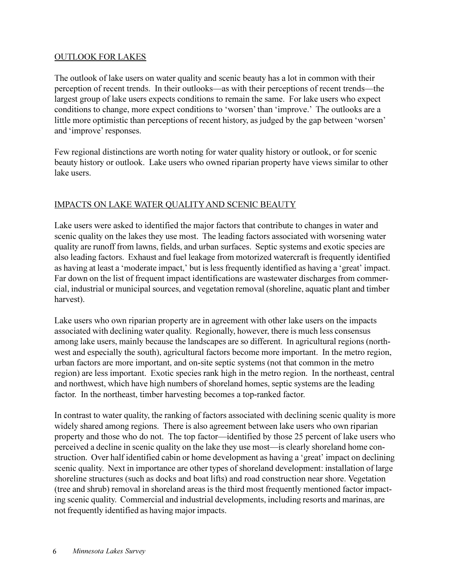#### OUTLOOK FOR LAKES

The outlook of lake users on water quality and scenic beauty has a lot in common with their perception of recent trends. In their outlooks—as with their perceptions of recent trends—the largest group of lake users expects conditions to remain the same. For lake users who expect conditions to change, more expect conditions to 'worsen' than 'improve.' The outlooks are a little more optimistic than perceptions of recent history, as judged by the gap between 'worsen' and 'improve' responses.

Few regional distinctions are worth noting for water quality history or outlook, or for scenic beauty history or outlook. Lake users who owned riparian property have views similar to other lake users.

#### IMPACTS ON LAKE WATER QUALITY AND SCENIC BEAUTY

Lake users were asked to identified the major factors that contribute to changes in water and scenic quality on the lakes they use most. The leading factors associated with worsening water quality are runoff from lawns, fields, and urban surfaces. Septic systems and exotic species are also leading factors. Exhaust and fuel leakage from motorized watercraft is frequently identified as having at least a 'moderate impact,' but is less frequently identified as having a 'great' impact. Far down on the list of frequent impact identifications are wastewater discharges from commercial, industrial or municipal sources, and vegetation removal (shoreline, aquatic plant and timber harvest).

Lake users who own riparian property are in agreement with other lake users on the impacts associated with declining water quality. Regionally, however, there is much less consensus among lake users, mainly because the landscapes are so different. In agricultural regions (northwest and especially the south), agricultural factors become more important. In the metro region, urban factors are more important, and on-site septic systems (not that common in the metro region) are less important. Exotic species rank high in the metro region. In the northeast, central and northwest, which have high numbers of shoreland homes, septic systems are the leading factor. In the northeast, timber harvesting becomes a top-ranked factor.

In contrast to water quality, the ranking of factors associated with declining scenic quality is more widely shared among regions. There is also agreement between lake users who own riparian property and those who do not. The top factor—identified by those 25 percent of lake users who perceived a decline in scenic quality on the lake they use most—is clearly shoreland home construction. Over half identified cabin or home development as having a 'great' impact on declining scenic quality. Next in importance are other types of shoreland development: installation of large shoreline structures (such as docks and boat lifts) and road construction near shore. Vegetation (tree and shrub) removal in shoreland areas is the third most frequently mentioned factor impacting scenic quality. Commercial and industrial developments, including resorts and marinas, are not frequently identified as having major impacts.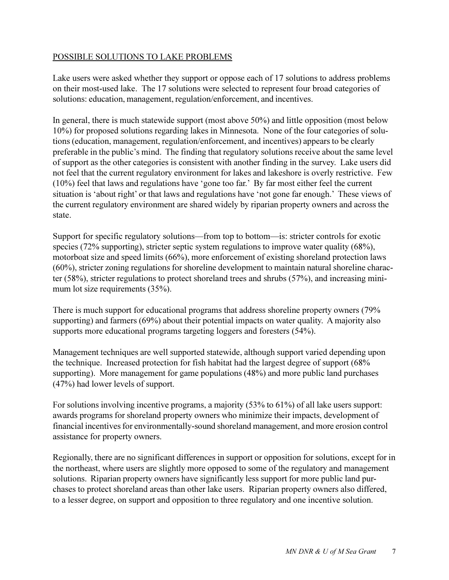#### POSSIBLE SOLUTIONS TO LAKE PROBLEMS

Lake users were asked whether they support or oppose each of 17 solutions to address problems on their most-used lake. The 17 solutions were selected to represent four broad categories of solutions: education, management, regulation/enforcement, and incentives.

In general, there is much statewide support (most above 50%) and little opposition (most below 10%) for proposed solutions regarding lakes in Minnesota. None of the four categories of solutions (education, management, regulation/enforcement, and incentives) appears to be clearly preferable in the public's mind. The finding that regulatory solutions receive about the same level of support as the other categories is consistent with another finding in the survey. Lake users did not feel that the current regulatory environment for lakes and lakeshore is overly restrictive. Few  $(10\%)$  feel that laws and regulations have 'gone too far.' By far most either feel the current situation is 'about right' or that laws and regulations have 'not gone far enough.' These views of the current regulatory environment are shared widely by riparian property owners and across the state.

Support for specific regulatory solutions—from top to bottom—is: stricter controls for exotic species (72% supporting), stricter septic system regulations to improve water quality (68%), motorboat size and speed limits (66%), more enforcement of existing shoreland protection laws (60%), stricter zoning regulations for shoreline development to maintain natural shoreline character (58%), stricter regulations to protect shoreland trees and shrubs (57%), and increasing minimum lot size requirements (35%).

There is much support for educational programs that address shoreline property owners (79% supporting) and farmers (69%) about their potential impacts on water quality. A majority also supports more educational programs targeting loggers and foresters (54%).

Management techniques are well supported statewide, although support varied depending upon the technique. Increased protection for fish habitat had the largest degree of support (68% supporting). More management for game populations (48%) and more public land purchases (47%) had lower levels of support.

For solutions involving incentive programs, a majority (53% to 61%) of all lake users support: awards programs for shoreland property owners who minimize their impacts, development of financial incentives for environmentally-sound shoreland management, and more erosion control assistance for property owners.

Regionally, there are no significant differences in support or opposition for solutions, except for in the northeast, where users are slightly more opposed to some of the regulatory and management solutions. Riparian property owners have significantly less support for more public land purchases to protect shoreland areas than other lake users. Riparian property owners also differed, to a lesser degree, on support and opposition to three regulatory and one incentive solution.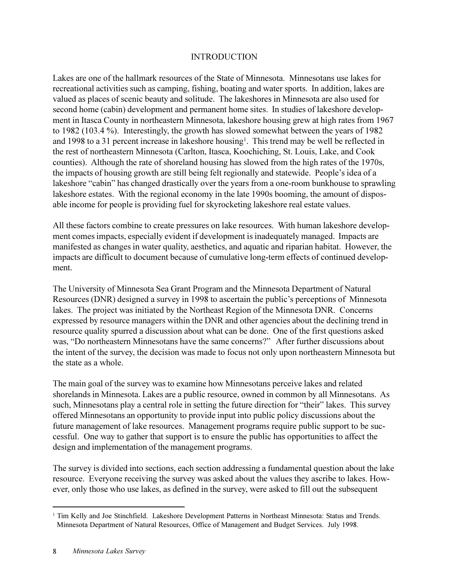#### **INTRODUCTION**

Lakes are one of the hallmark resources of the State of Minnesota. Minnesotans use lakes for recreational activities such as camping, fishing, boating and water sports. In addition, lakes are valued as places of scenic beauty and solitude. The lakeshores in Minnesota are also used for second home (cabin) development and permanent home sites. In studies of lakeshore development in Itasca County in northeastern Minnesota, lakeshore housing grew at high rates from 1967 to 1982 (103.4 %). Interestingly, the growth has slowed somewhat between the years of 1982 and 1998 to a 31 percent increase in lakeshore housing<sup>1</sup>. This trend may be well be reflected in the rest of northeastern Minnesota (Carlton, Itasca, Koochiching, St. Louis, Lake, and Cook counties). Although the rate of shoreland housing has slowed from the high rates of the 1970s, the impacts of housing growth are still being felt regionally and statewide. People's idea of a lakeshore "cabin" has changed drastically over the years from a one-room bunkhouse to sprawling lakeshore estates. With the regional economy in the late 1990s booming, the amount of disposable income for people is providing fuel for skyrocketing lakeshore real estate values.

All these factors combine to create pressures on lake resources. With human lakeshore development comes impacts, especially evident if development is inadequately managed. Impacts are manifested as changes in water quality, aesthetics, and aquatic and riparian habitat. However, the impacts are difficult to document because of cumulative long-term effects of continued development.

The University of Minnesota Sea Grant Program and the Minnesota Department of Natural Resources (DNR) designed a survey in 1998 to ascertain the public's perceptions of Minnesota lakes. The project was initiated by the Northeast Region of the Minnesota DNR. Concerns expressed by resource managers within the DNR and other agencies about the declining trend in resource quality spurred a discussion about what can be done. One of the first questions asked was, "Do northeastern Minnesotans have the same concerns?" After further discussions about the intent of the survey, the decision was made to focus not only upon northeastern Minnesota but the state as a whole.

The main goal of the survey was to examine how Minnesotans perceive lakes and related shorelands in Minnesota. Lakes are a public resource, owned in common by all Minnesotans. As such, Minnesotans play a central role in setting the future direction for "their" lakes. This survey offered Minnesotans an opportunity to provide input into public policy discussions about the future management of lake resources. Management programs require public support to be successful. One way to gather that support is to ensure the public has opportunities to affect the design and implementation of the management programs.

The survey is divided into sections, each section addressing a fundamental question about the lake resource. Everyone receiving the survey was asked about the values they ascribe to lakes. However, only those who use lakes, as defined in the survey, were asked to fill out the subsequent

<sup>&</sup>lt;sup>1</sup> Tim Kelly and Joe Stinchfield. Lakeshore Development Patterns in Northeast Minnesota: Status and Trends. Minnesota Department of Natural Resources, Office of Management and Budget Services. July 1998.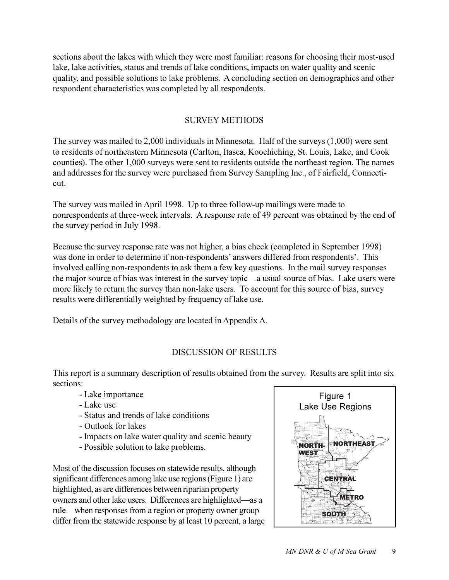sections about the lakes with which they were most familiar: reasons for choosing their most-used lake, lake activities, status and trends of lake conditions, impacts on water quality and scenic quality, and possible solutions to lake problems. A concluding section on demographics and other respondent characteristics was completed by all respondents.

#### SURVEY METHODS

The survey was mailed to 2,000 individuals in Minnesota. Half of the surveys (1,000) were sent to residents of northeastern Minnesota (Carlton, Itasca, Koochiching, St. Louis, Lake, and Cook counties). The other 1,000 surveys were sent to residents outside the northeast region. The names and addresses for the survey were purchased from Survey Sampling Inc., of Fairfield, Connecticut.

The survey was mailed in April 1998. Up to three follow-up mailings were made to nonrespondents at three-week intervals. A response rate of 49 percent was obtained by the end of the survey period in July 1998.

Because the survey response rate was not higher, a bias check (completed in September 1998) was done in order to determine if non-respondents' answers differed from respondents'. This involved calling non-respondents to ask them a few key questions. In the mail survey responses the major source of bias was interest in the survey topic—a usual source of bias. Lake users were more likely to return the survey than non-lake users. To account for this source of bias, survey results were differentially weighted by frequency of lake use.

Details of the survey methodology are located in Appendix A.

### DISCUSSION OF RESULTS

This report is a summary description of results obtained from the survey. Results are split into six sections:

- Lake importance
- Lake use
- Status and trends of lake conditions
- Outlook for lakes
- Impacts on lake water quality and scenic beauty
- Possible solution to lake problems.

Most of the discussion focuses on statewide results, although significant differences among lake use regions (Figure 1) are highlighted, as are differences between riparian property owners and other lake users. Differences are highlighted—as a rule—when responses from a region or property owner group differ from the statewide response by at least 10 percent, a large

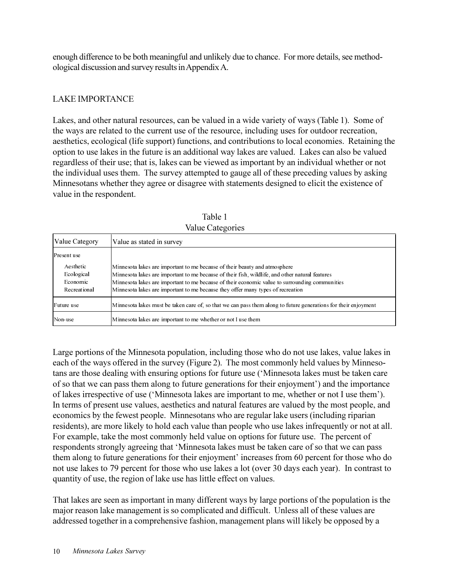enough difference to be both meaningful and unlikely due to chance. For more details, see methodological discussion and survey results in Appendix A.

### LAKE IMPORTANCE

Lakes, and other natural resources, can be valued in a wide variety of ways (Table 1). Some of the ways are related to the current use of the resource, including uses for outdoor recreation, aesthetics, ecological (life support) functions, and contributions to local economies. Retaining the option to use lakes in the future is an additional way lakes are valued. Lakes can also be valued regardless of their use; that is, lakes can be viewed as important by an individual whether or not the individual uses them. The survey attempted to gauge all of these preceding values by asking Minnesotans whether they agree or disagree with statements designed to elicit the existence of value in the respondent.

|                                                     | $\cdots$                                                                                                                                                                                                                                                                                                                                                           |
|-----------------------------------------------------|--------------------------------------------------------------------------------------------------------------------------------------------------------------------------------------------------------------------------------------------------------------------------------------------------------------------------------------------------------------------|
| Value Category                                      | Value as stated in survey                                                                                                                                                                                                                                                                                                                                          |
| <b>Present</b> use                                  |                                                                                                                                                                                                                                                                                                                                                                    |
| Aesthetic<br>Ecological<br>Economic<br>Recreational | Minnesota lakes are important to me because of their beauty and atmosphere<br>Minnesota lakes are important to me because of their fish, wildlife, and other natural features<br>Minnesota lakes are important to me because of their economic value to surrounding communities<br>Minnesota lakes are important to me because they offer many types of recreation |
| Future use                                          | Minnesota lakes must be taken care of, so that we can pass them along to future generations for their enjoyment                                                                                                                                                                                                                                                    |
| Non-use                                             | Minnesota lakes are important to me whether or not I use them                                                                                                                                                                                                                                                                                                      |

Table 1 Value Categories

Large portions of the Minnesota population, including those who do not use lakes, value lakes in each of the ways offered in the survey (Figure 2). The most commonly held values by Minnesotans are those dealing with ensuring options for future use ('Minnesota lakes must be taken care of so that we can pass them along to future generations for their enjoyment) and the importance of lakes irrespective of use (Minnesota lakes are important to me, whether or not I use them). In terms of present use values, aesthetics and natural features are valued by the most people, and economics by the fewest people. Minnesotans who are regular lake users (including riparian residents), are more likely to hold each value than people who use lakes infrequently or not at all. For example, take the most commonly held value on options for future use. The percent of respondents strongly agreeing that 'Minnesota lakes must be taken care of so that we can pass them along to future generations for their enjoyment' increases from 60 percent for those who do not use lakes to 79 percent for those who use lakes a lot (over 30 days each year). In contrast to quantity of use, the region of lake use has little effect on values.

That lakes are seen as important in many different ways by large portions of the population is the major reason lake management is so complicated and difficult. Unless all of these values are addressed together in a comprehensive fashion, management plans will likely be opposed by a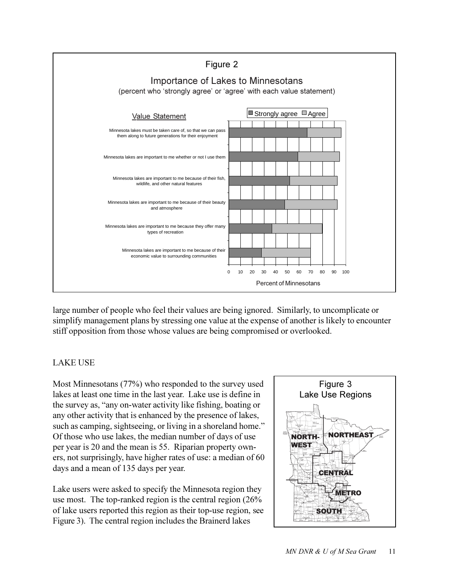

large number of people who feel their values are being ignored. Similarly, to uncomplicate or simplify management plans by stressing one value at the expense of another is likely to encounter stiff opposition from those whose values are being compromised or overlooked.

#### LAKE USE

Most Minnesotans (77%) who responded to the survey used lakes at least one time in the last year. Lake use is define in the survey as, "any on-water activity like fishing, boating or any other activity that is enhanced by the presence of lakes, such as camping, sightseeing, or living in a shoreland home." Of those who use lakes, the median number of days of use per year is 20 and the mean is 55. Riparian property owners, not surprisingly, have higher rates of use: a median of 60 days and a mean of 135 days per year.

Lake users were asked to specify the Minnesota region they use most. The top-ranked region is the central region (26% of lake users reported this region as their top-use region, see Figure 3). The central region includes the Brainerd lakes

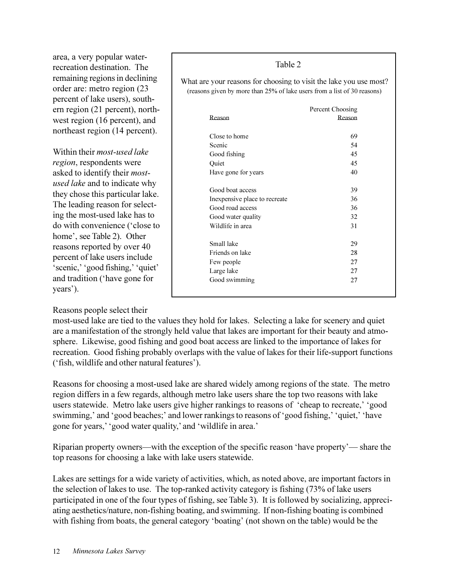area, a very popular waterrecreation destination. The remaining regions in declining order are: metro region (23 percent of lake users), southern region (21 percent), northwest region (16 percent), and northeast region (14 percent).

Within their *most-used lake region*, respondents were asked to identify their *mostused lake* and to indicate why they chose this particular lake. The leading reason for selecting the most-used lake has to do with convenience ('close to home', see Table 2). Other reasons reported by over 40 percent of lake users include 'scenic,' 'good fishing,' 'quiet' and tradition (have gone for years').

#### Reasons people select their

Table 2

What are your reasons for choosing to visit the lake you use most? (reasons given by more than 25% of lake users from a list of 30 reasons)

|                               | Percent Choosing |
|-------------------------------|------------------|
| Reason                        | Reason           |
| Close to home                 | 69               |
| Scenic                        | 54               |
| Good fishing                  | 45               |
| Quiet                         | 45               |
| Have gone for years           | 40               |
| Good boat access              | 39               |
| Inexpensive place to recreate | 36               |
| Good road access              | 36               |
| Good water quality            | 32               |
| Wildlife in area              | 31               |
| Small lake                    | 29               |
| Friends on lake               | 28               |
| Few people                    | 27               |
| Large lake                    | 27               |
| Good swimming                 | 27               |

most-used lake are tied to the values they hold for lakes. Selecting a lake for scenery and quiet are a manifestation of the strongly held value that lakes are important for their beauty and atmosphere. Likewise, good fishing and good boat access are linked to the importance of lakes for recreation. Good fishing probably overlaps with the value of lakes for their life-support functions ('fish, wildlife and other natural features').

Reasons for choosing a most-used lake are shared widely among regions of the state. The metro region differs in a few regards, although metro lake users share the top two reasons with lake users statewide. Metro lake users give higher rankings to reasons of 'cheap to recreate,' 'good swimming, and 'good beaches; and lower rankings to reasons of 'good fishing,' 'quiet,' 'have gone for years, 'good water quality,' and 'wildlife in area.'

Riparian property owners—with the exception of the specific reason 'have property'— share the top reasons for choosing a lake with lake users statewide.

Lakes are settings for a wide variety of activities, which, as noted above, are important factors in the selection of lakes to use. The top-ranked activity category is fishing (73% of lake users participated in one of the four types of fishing, see Table 3). It is followed by socializing, appreciating aesthetics/nature, non-fishing boating, and swimming. If non-fishing boating is combined with fishing from boats, the general category 'boating' (not shown on the table) would be the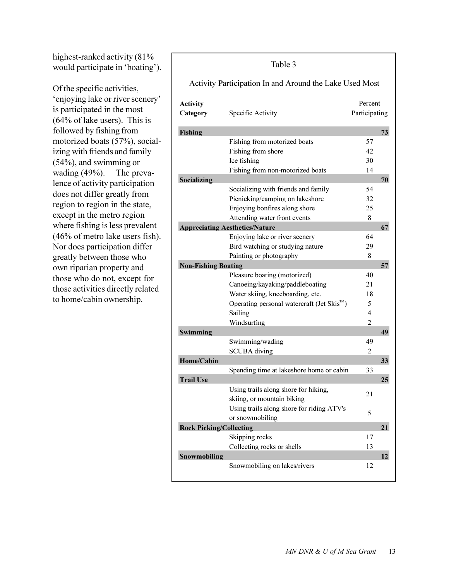highest-ranked activity (81% and the state of the state 3 highest-ranked activity (81% and 5) would participate in 'boating').

Of the specific activities, 'enjoying lake or river scenery' is participated in the most (64% of lake users). This is followed by fishing from motorized boats (57%), socializing with friends and family (54%), and swimming or wading (49%). The prevalence of activity participation does not differ greatly from region to region in the state, except in the metro region where fishing is less prevalent (46% of metro lake users fish). Nor does participation differ greatly between those who own riparian property and those who do not, except for those activities directly related to home/cabin ownership.

#### **Activity** Percent **Category** Specific Activity **3DUMLFLILTS** Participating **Fishing** 73 Fishing from motorized boats 57 Fishing from shore 42  $Ice$  fishing  $30$ Fishing from non-motorized boats 14 **Socializing** 2008. The set of the set of the set of the set of the set of the set of the set of the set of the set of the set of the set of the set of the set of the set of the set of the set of the set of the set of the Socializing with friends and family 54 Picnicking/camping on lakeshore 32 Enjoying bonfires along shore  $25$ Attending water front events 8 **Appreciating Aesthetics/Nature** 67 Enjoying lake or river scenery 64 Bird watching or studying nature 29 Painting or photography 8 **1888 1889 1899 1899 1899 1899 1899 1899 1899 1899 1899 1899 1899 1899 1899 1899 1899 1899 1899 1899 1899 1899 1899 1899 1899 1899 1899 1899 1899 1899 1899 1899** Pleasure boating (motorized) 40 Canoeing/kayaking/paddleboating 21 Water skiing, kneeboarding, etc. 18 Operating personal watercraft (Jet Skis<sup> $M$ </sup>) 5 Sailing 4 Windsurfing 2 **Swimming** 49 Swimming/wading 49 SCUBA diving 2 **+Rome/Cabin** 33 Spending time at lakeshore home or cabin 33 **1 7** *PDLOSE* **<b>1** *PDLOSE* **1** *PDLOSE* **1** *PDLOSE* **1** *PDLOSE* **1** *PDLOSE* **1** *PDLOSE* **<b>1** *PDLOSE* Using trails along shore for hiking, skiing, or mountain biking 21 Using trails along shore for riding ATV's or snowmobiling 5 **FROCK Picking/Collecting 21** Skipping rocks 17 Collecting rocks or shells 13 **Snowmobiling** 12 Snowmobiling on lakes/rivers 12 Activity Participation In and Around the Lake Used Most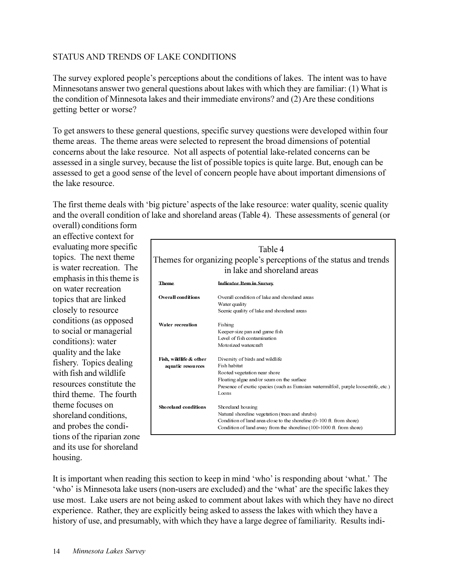#### STATUS AND TRENDS OF LAKE CONDITIONS

The survey explored people's perceptions about the conditions of lakes. The intent was to have Minnesotans answer two general questions about lakes with which they are familiar: (1) What is the condition of Minnesota lakes and their immediate environs? and (2) Are these conditions getting better or worse?

To get answers to these general questions, specific survey questions were developed within four theme areas. The theme areas were selected to represent the broad dimensions of potential concerns about the lake resource. Not all aspects of potential lake-related concerns can be assessed in a single survey, because the list of possible topics is quite large. But, enough can be assessed to get a good sense of the level of concern people have about important dimensions of the lake resource.

The first theme deals with 'big picture' aspects of the lake resource: water quality, scenic quality and the overall condition of lake and shoreland areas (Table 4). These assessments of general (or overall) conditions form

an effective context for evaluating more specific topics. The next theme is water recreation. The emphasis in this theme is on water recreation topics that are linked closely to resource conditions (as opposed to social or managerial conditions): water quality and the lake fishery. Topics dealing with fish and wildlife resources constitute the third theme. The fourth theme focuses on shoreland conditions, and probes the conditions of the riparian zone and its use for shoreland housing.

| Table 4<br>Themes for organizing people's perceptions of the status and trends |                                                                                                                                                                                                                               |  |  |  |  |
|--------------------------------------------------------------------------------|-------------------------------------------------------------------------------------------------------------------------------------------------------------------------------------------------------------------------------|--|--|--|--|
|                                                                                | in lake and shoreland areas                                                                                                                                                                                                   |  |  |  |  |
| Theme                                                                          | <b>Indicator Item in Survey</b>                                                                                                                                                                                               |  |  |  |  |
| <b>Overall conditions</b>                                                      | Overall condition of lake and shoreland areas<br>Water quality<br>Scenic quality of lake and shoreland areas                                                                                                                  |  |  |  |  |
| Water recreation                                                               | Fishing<br>Keeper-size pan and game fish<br>Level of fish contamination<br>Motorized watercraft                                                                                                                               |  |  |  |  |
| Fish, wildlife & other<br>aquatic resources                                    | Diversity of birds and wildlife<br>Fish habitat<br>Rooted vegetation near shore<br>Floating algae and/or scum on the surface<br>Presence of exotic species (such as Eurasian watermilfoil, purple loosestrife, etc.)<br>Loons |  |  |  |  |
| Shoreland conditions                                                           | Shoreland housing<br>Natural shoreline vegetation (trees and shrubs)<br>Condition of land area close to the shoreline (0-100 ft from shore)<br>Condition of land away from the shoreline (100-1000 ft. from shore)            |  |  |  |  |

It is important when reading this section to keep in mind 'who' is responding about 'what.' The 'who' is Minnesota lake users (non-users are excluded) and the 'what' are the specific lakes they use most. Lake users are not being asked to comment about lakes with which they have no direct experience. Rather, they are explicitly being asked to assess the lakes with which they have a history of use, and presumably, with which they have a large degree of familiarity. Results indi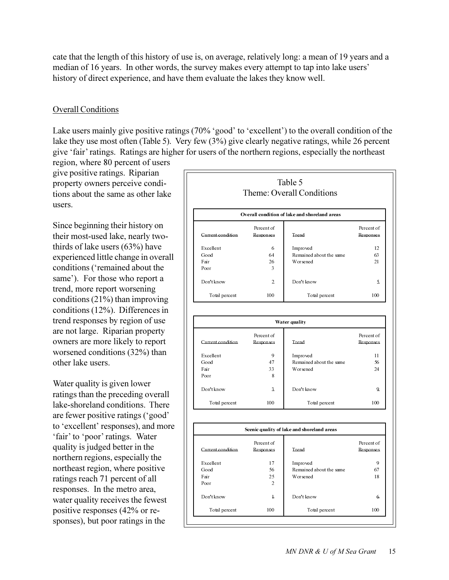cate that the length of this history of use is, on average, relatively long: a mean of 19 years and a median of 16 years. In other words, the survey makes every attempt to tap into lake users' history of direct experience, and have them evaluate the lakes they know well.

#### Overall Conditions

Lake users mainly give positive ratings  $(70\% \text{'}good \text{' to } \text{'excellent'})$  to the overall condition of the lake they use most often (Table 5). Very few (3%) give clearly negative ratings, while 26 percent give fair ratings. Ratings are higher for users of the northern regions, especially the northeast

region, where 80 percent of users give positive ratings. Riparian property owners perceive conditions about the same as other lake users.

Since beginning their history on their most-used lake, nearly twothirds of lake users (63%) have experienced little change in overall conditions ('remained about the same'). For those who report a trend, more report worsening conditions (21%) than improving conditions (12%). Differences in trend responses by region of use are not large. Riparian property owners are more likely to report worsened conditions (32%) than other lake users.

Water quality is given lower ratings than the preceding overall lake-shoreland conditions. There are fewer positive ratings ('good' to 'excellent' responses), and more 'fair' to 'poor' ratings. Water quality is judged better in the northern regions, especially the northeast region, where positive ratings reach 71 percent of all responses. In the metro area, water quality receives the fewest positive responses (42% or responses), but poor ratings in the

|                   |                         | Table 5<br>Theme: Overall Conditions          |                         |
|-------------------|-------------------------|-----------------------------------------------|-------------------------|
|                   |                         | Overall condition of lake and shoreland areas |                         |
| Current condition | Percent of<br>Responses | Trend                                         | Percent of<br>Responses |
| Excellent         | 6                       | Improved                                      | 12                      |
| Good              | 64                      | Remained about the same                       | 63                      |
| Fair              | 26                      | Worsened                                      | 21                      |
| Poor              | 3                       |                                               |                         |
| Don't know        | $\overline{2}$          | Don't know                                    | 5.                      |
| Total percent     | 100                     | Total percent                                 | 100                     |

|                   | Water quality           |                         |                                |  |  |
|-------------------|-------------------------|-------------------------|--------------------------------|--|--|
| Current condition | Percent of<br>Responses | Trend                   | Percent of<br><b>Responses</b> |  |  |
| Excellent         | 9                       | Improved                | 11                             |  |  |
| Good              | 47                      | Remained about the same | 56                             |  |  |
| Fair              | 33                      | Worsened                | 24                             |  |  |
| Poor              | 8                       |                         |                                |  |  |
| Don't know        | 3                       | Don't know              | $\mathbf{Q}$                   |  |  |
| Total percent     | 100                     | Total percent           | 100                            |  |  |

|                   | Percent of     |                         | Percent of       |
|-------------------|----------------|-------------------------|------------------|
| Current condition | Responses      | Trend                   | <b>Responses</b> |
| Excellent         | 17             | Improved                | 9                |
| Good              | 56             | Remained about the same | 67               |
| Fair              | 2.5            | Worsened                | 18               |
| Poor              | $\overline{2}$ |                         |                  |
| Don't know        | $\overline{1}$ | Don't know              | 6.               |
| Total percent     | 100            | Total percent           | 100              |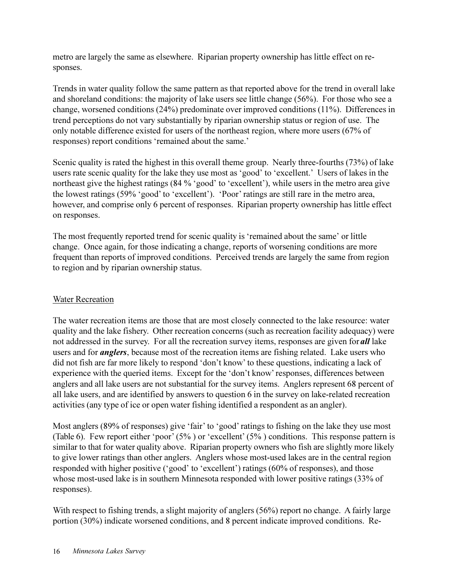metro are largely the same as elsewhere. Riparian property ownership has little effect on responses.

Trends in water quality follow the same pattern as that reported above for the trend in overall lake and shoreland conditions: the majority of lake users see little change (56%). For those who see a change, worsened conditions (24%) predominate over improved conditions (11%). Differences in trend perceptions do not vary substantially by riparian ownership status or region of use. The only notable difference existed for users of the northeast region, where more users (67% of responses) report conditions 'remained about the same.'

Scenic quality is rated the highest in this overall theme group. Nearly three-fourths (73%) of lake users rate scenic quality for the lake they use most as 'good' to 'excellent.' Users of lakes in the northeast give the highest ratings  $(84\% \text{ 'good' to 'excellent')}$ , while users in the metro area give the lowest ratings (59% 'good' to 'excellent'). 'Poor' ratings are still rare in the metro area, however, and comprise only 6 percent of responses. Riparian property ownership has little effect on responses.

The most frequently reported trend for scenic quality is 'remained about the same' or little change. Once again, for those indicating a change, reports of worsening conditions are more frequent than reports of improved conditions. Perceived trends are largely the same from region to region and by riparian ownership status.

#### Water Recreation

The water recreation items are those that are most closely connected to the lake resource: water quality and the lake fishery. Other recreation concerns (such as recreation facility adequacy) were not addressed in the survey. For all the recreation survey items, responses are given for *all* lake users and for *anglers*, because most of the recreation items are fishing related. Lake users who did not fish are far more likely to respond 'don't know' to these questions, indicating a lack of experience with the queried items. Except for the 'don't know' responses, differences between anglers and all lake users are not substantial for the survey items. Anglers represent 68 percent of all lake users, and are identified by answers to question 6 in the survey on lake-related recreation activities (any type of ice or open water fishing identified a respondent as an angler).

Most anglers (89% of responses) give 'fair' to 'good' ratings to fishing on the lake they use most (Table 6). Few report either 'poor'  $(5\%)$  or 'excellent'  $(5\%)$  conditions. This response pattern is similar to that for water quality above. Riparian property owners who fish are slightly more likely to give lower ratings than other anglers. Anglers whose most-used lakes are in the central region responded with higher positive ('good' to 'excellent') ratings (60% of responses), and those whose most-used lake is in southern Minnesota responded with lower positive ratings (33% of responses).

With respect to fishing trends, a slight majority of anglers (56%) report no change. A fairly large portion (30%) indicate worsened conditions, and 8 percent indicate improved conditions. Re-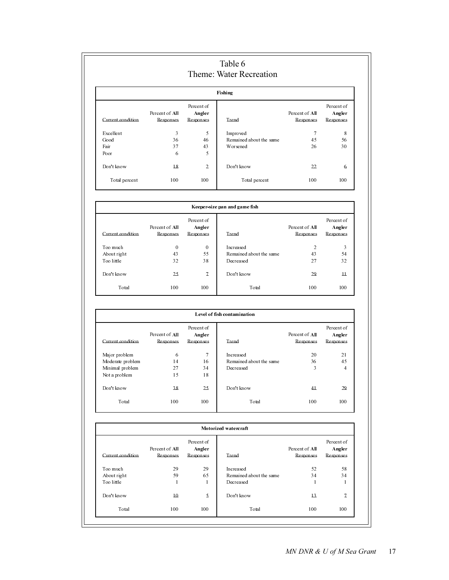| Table 6<br>Theme: Water Recreation |                                    |                                   |                         |                             |                                   |  |  |
|------------------------------------|------------------------------------|-----------------------------------|-------------------------|-----------------------------|-----------------------------------|--|--|
|                                    | Fishing                            |                                   |                         |                             |                                   |  |  |
| Current condition                  | Percent of All<br><b>Responses</b> | Percent of<br>Angler<br>Responses | Trend                   | Percent of All<br>Responses | Percent of<br>Angler<br>Responses |  |  |
| Excellent                          | 3                                  | 5                                 | Improved                | 7                           | 8                                 |  |  |
| Good                               | 36                                 | 46                                | Remained about the same | 45                          | 56                                |  |  |
| Fair                               | 37                                 | 43                                | Worsened                | 26                          | 30                                |  |  |
| Poor                               | 6                                  | 5                                 |                         |                             |                                   |  |  |
| Don't know                         | 18                                 | 2                                 | Don't know              | 22                          | 6                                 |  |  |
| Total percent                      | 100                                | 100                               | Total percent           | 100                         | 100                               |  |  |

| Keeper-size pan and game fish |                                    |                                          |                         |                             |                                   |
|-------------------------------|------------------------------------|------------------------------------------|-------------------------|-----------------------------|-----------------------------------|
| Current condition             | Percent of All<br><b>Responses</b> | Percent of<br><b>Angler</b><br>Responses | Trend                   | Percent of All<br>Responses | Percent of<br>Angler<br>Responses |
| Too much                      | 0                                  | $\theta$                                 | Increased               | $\overline{c}$              | 3                                 |
| About right                   | 43                                 | 55                                       | Remained about the same | 43                          | 54                                |
| Too little                    | 32                                 | 38                                       | Decreased               | 27                          | 32                                |
| Don't know                    | 25                                 | 7                                        | Don't know              | 29                          | $\overline{11}$                   |
| Total                         | 100                                | 100                                      | Total                   | 100                         | 100                               |

| Level of fish contamination |                                    |                                   |                         |                             |                                   |
|-----------------------------|------------------------------------|-----------------------------------|-------------------------|-----------------------------|-----------------------------------|
| Current condition           | Percent of All<br><b>Responses</b> | Percent of<br>Angler<br>Responses | Trend                   | Percent of All<br>Responses | Percent of<br>Angler<br>Responses |
| Major problem               | 6                                  | 7                                 | Increased               | 20                          | 21                                |
| Moderate problem            | 14                                 | 16                                | Remained about the same | 36                          | 45                                |
| Minimal problem             | 27                                 | 34                                | Decreased               | 3                           | 4                                 |
| Not a problem               | 15                                 | 18                                |                         |                             |                                   |
| Don't know                  | 38                                 | 25                                | Don't know              | 41                          | 29                                |
| Total                       | 100                                | 100                               | Total                   | 100                         | 100                               |

| Current condition | Percent of All<br>Responses | Percent of<br>Angler<br>Responses | Trend                   | Percent of All<br><b>Responses</b> | Percent of<br>Angler<br>Responses |
|-------------------|-----------------------------|-----------------------------------|-------------------------|------------------------------------|-----------------------------------|
| Too much          | 29                          | 29                                | Increased               | 52                                 | 58                                |
| About right       | 59                          | 65                                | Remained about the same | 34                                 | 34                                |
| Too little        |                             |                                   | Decreased               | $\mathbf{1}$                       |                                   |
| Don't know        | $\overline{10}$             | 5                                 | Don't know              | $\overline{13}$                    | $\overline{1}$                    |
| Total             | 100                         | 100                               | Total                   | 100                                | 100                               |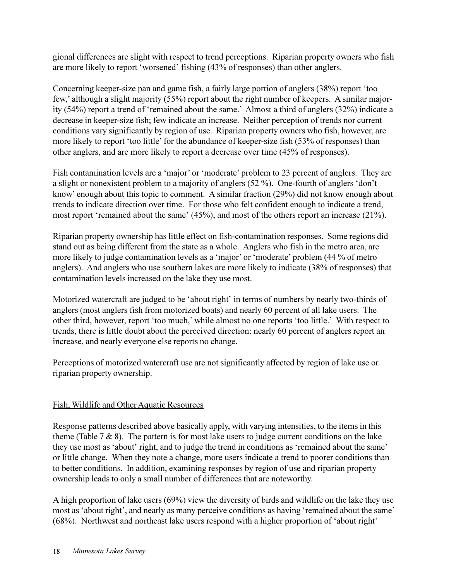gional differences are slight with respect to trend perceptions. Riparian property owners who fish are more likely to report 'worsened' fishing (43% of responses) than other anglers.

Concerning keeper-size pan and game fish, a fairly large portion of anglers (38%) report 'too few, although a slight majority (55%) report about the right number of keepers. A similar majority (54%) report a trend of 'remained about the same.' Almost a third of anglers (32%) indicate a decrease in keeper-size fish; few indicate an increase. Neither perception of trends nor current conditions vary significantly by region of use. Riparian property owners who fish, however, are more likely to report 'too little' for the abundance of keeper-size fish (53% of responses) than other anglers, and are more likely to report a decrease over time (45% of responses).

Fish contamination levels are a 'major' or 'moderate' problem to 23 percent of anglers. They are a slight or nonexistent problem to a majority of anglers  $(52 \%)$ . One-fourth of anglers 'don't know enough about this topic to comment. A similar fraction (29%) did not know enough about trends to indicate direction over time. For those who felt confident enough to indicate a trend, most report 'remained about the same'  $(45%)$ , and most of the others report an increase  $(21%)$ .

Riparian property ownership has little effect on fish-contamination responses. Some regions did stand out as being different from the state as a whole. Anglers who fish in the metro area, are more likely to judge contamination levels as a 'major' or 'moderate' problem (44 % of metro anglers). And anglers who use southern lakes are more likely to indicate (38% of responses) that contamination levels increased on the lake they use most.

Motorized watercraft are judged to be 'about right' in terms of numbers by nearly two-thirds of anglers (most anglers fish from motorized boats) and nearly 60 percent of all lake users. The other third, however, report 'too much,' while almost no one reports 'too little.' With respect to trends, there is little doubt about the perceived direction: nearly 60 percent of anglers report an increase, and nearly everyone else reports no change.

Perceptions of motorized watercraft use are not significantly affected by region of lake use or riparian property ownership.

#### Fish, Wildlife and Other Aquatic Resources

Response patterns described above basically apply, with varying intensities, to the items in this theme (Table  $7 \& 8$ ). The pattern is for most lake users to judge current conditions on the lake they use most as 'about' right, and to judge the trend in conditions as 'remained about the same' or little change. When they note a change, more users indicate a trend to poorer conditions than to better conditions. In addition, examining responses by region of use and riparian property ownership leads to only a small number of differences that are noteworthy.

A high proportion of lake users (69%) view the diversity of birds and wildlife on the lake they use most as 'about right', and nearly as many perceive conditions as having 'remained about the same'  $(68%)$ . Northwest and northeast lake users respond with a higher proportion of 'about right'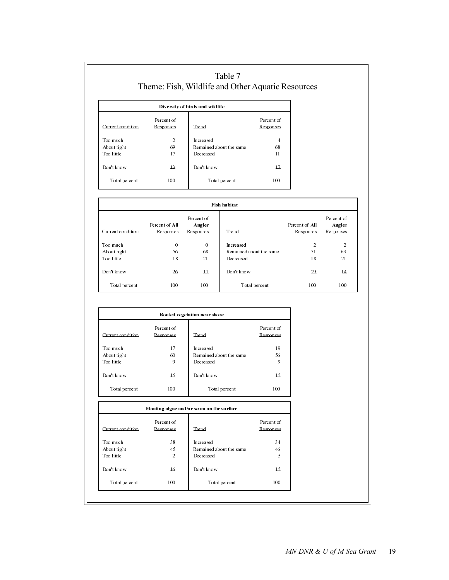| Table 7<br>Theme: Fish, Wildlife and Other Aquatic Resources |                         |                                 |                         |  |  |  |
|--------------------------------------------------------------|-------------------------|---------------------------------|-------------------------|--|--|--|
|                                                              |                         | Diversity of birds and wildlife |                         |  |  |  |
| Current condition                                            | Percent of<br>Responses | Trend                           | Percent of<br>Responses |  |  |  |
| Too much                                                     | $\overline{2}$          | In creased                      | 4                       |  |  |  |
| About right                                                  | 69                      | Remained about the same         | 68                      |  |  |  |
| Too little                                                   | 17                      | Decreased                       | 11                      |  |  |  |
| Don't know                                                   | $\overline{13}$         | Don't know                      | 17                      |  |  |  |
| Total percent                                                | 100                     | Total percent                   | 100                     |  |  |  |

| Fish habitat      |                                    |                                   |                         |                             |                                   |  |  |
|-------------------|------------------------------------|-----------------------------------|-------------------------|-----------------------------|-----------------------------------|--|--|
| Current condition | Percent of All<br><b>Responses</b> | Percent of<br>Angler<br>Responses | Trend                   | Percent of All<br>Responses | Percent of<br>Angler<br>Responses |  |  |
| Too much          | 0                                  | $\theta$                          | In creased              | $\overline{2}$              | 2                                 |  |  |
| About right       | 56                                 | 68                                | Remained about the same | 51                          | 63                                |  |  |
| Too little        | 18                                 | 21                                | Decreased               | 18                          | 21                                |  |  |
| Don't know        | 26                                 | $\overline{11}$                   | Don't know              | 29                          | $\overline{14}$                   |  |  |
| Total percent     | 100                                | 100                               | Total percent           | 100                         | 100                               |  |  |

| Rooted vegetation near shore |                         |                         |                         |  |  |  |
|------------------------------|-------------------------|-------------------------|-------------------------|--|--|--|
| Current condition            | Percent of<br>Responses | Trend                   | Percent of<br>Responses |  |  |  |
| Too much                     | 17                      | In creased              | 19                      |  |  |  |
| About right                  | 60                      | Remained about the same | 56                      |  |  |  |
| Too little                   | 9                       | Decreased               | 9                       |  |  |  |
| Don't know                   | 15                      | Don't know              | 15                      |  |  |  |
| Total percent                | 100                     | Total percent           | 100                     |  |  |  |

#### Floating algae and/or scum on the surface

| Current condition | Percent of<br>Responses | Trend                   | Percent of<br><b>Responses</b> |
|-------------------|-------------------------|-------------------------|--------------------------------|
| Too much          | 38                      | Increased               | 34                             |
| About right       | 45                      | Remained about the same | 46                             |
| Too little        | $\overline{2}$          | Decreased               | 5                              |
| Don't know        | $\overline{16}$         | Don't know              | 15.                            |
| Total percent     | 100                     | Total percent           | 100                            |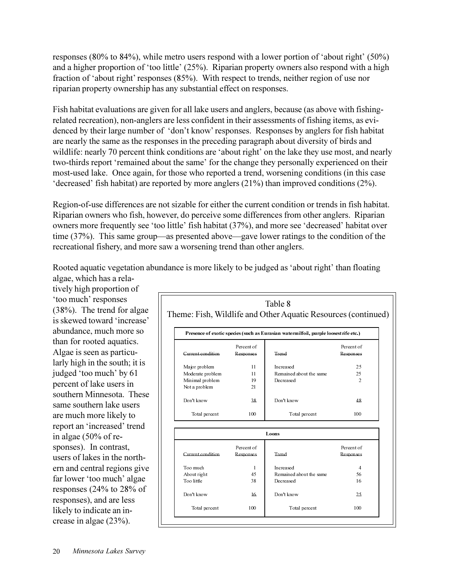responses (80% to 84%), while metro users respond with a lower portion of 'about right' (50%) and a higher proportion of 'too little'  $(25%)$ . Riparian property owners also respond with a high fraction of 'about right' responses (85%). With respect to trends, neither region of use nor riparian property ownership has any substantial effect on responses.

Fish habitat evaluations are given for all lake users and anglers, because (as above with fishingrelated recreation), non-anglers are less confident in their assessments of fishing items, as evidenced by their large number of 'don't know' responses. Responses by anglers for fish habitat are nearly the same as the responses in the preceding paragraph about diversity of birds and wildlife: nearly 70 percent think conditions are 'about right' on the lake they use most, and nearly two-thirds report 'remained about the same' for the change they personally experienced on their most-used lake. Once again, for those who reported a trend, worsening conditions (in this case decreased fish habitat) are reported by more anglers  $(21\%)$  than improved conditions  $(2\%)$ .

Region-of-use differences are not sizable for either the current condition or trends in fish habitat. Riparian owners who fish, however, do perceive some differences from other anglers. Riparian owners more frequently see 'too little' fish habitat (37%), and more see 'decreased' habitat over time  $(37%)$ . This same group—as presented above—gave lower ratings to the condition of the recreational fishery, and more saw a worsening trend than other anglers.

Rooted aquatic vegetation abundance is more likely to be judged as 'about right' than floating

algae, which has a relatively high proportion of 'too much' responses (38%). The trend for algae is skewed toward 'increase' abundance, much more so than for rooted aquatics. Algae is seen as particularly high in the south; it is judged 'too much' by 61 percent of lake users in southern Minnesota. These same southern lake users are much more likely to report an 'increased' trend in algae (50% of responses). In contrast, users of lakes in the northern and central regions give far lower 'too much' algae responses (24% to 28% of responses), and are less likely to indicate an increase in algae (23%).

| Percent of<br>Current condition<br>Trend<br>Responses<br>11<br>Major problem<br>Increased<br>Moderate problem<br>11<br>Remained about the same<br>Minimal problem<br>19<br>Decreased<br>Not a problem<br>21<br>Don't know<br>Don't know<br>38<br>Total percent<br>100<br>Total percent<br>Loons<br>Percent of<br>Current condition.<br>Trend<br>Responses<br>Too much<br>1<br>Increased | Presence of exotic species (such as Eurasian watermilfoil, purple loosest rife etc.) |     |                         |                |  |  |
|-----------------------------------------------------------------------------------------------------------------------------------------------------------------------------------------------------------------------------------------------------------------------------------------------------------------------------------------------------------------------------------------|--------------------------------------------------------------------------------------|-----|-------------------------|----------------|--|--|
|                                                                                                                                                                                                                                                                                                                                                                                         |                                                                                      |     |                         | Percent of     |  |  |
|                                                                                                                                                                                                                                                                                                                                                                                         |                                                                                      |     |                         | Responses      |  |  |
|                                                                                                                                                                                                                                                                                                                                                                                         |                                                                                      |     |                         | 25             |  |  |
|                                                                                                                                                                                                                                                                                                                                                                                         |                                                                                      |     |                         | 25             |  |  |
|                                                                                                                                                                                                                                                                                                                                                                                         |                                                                                      |     |                         | $\overline{2}$ |  |  |
|                                                                                                                                                                                                                                                                                                                                                                                         |                                                                                      |     |                         |                |  |  |
|                                                                                                                                                                                                                                                                                                                                                                                         |                                                                                      |     |                         | 48             |  |  |
|                                                                                                                                                                                                                                                                                                                                                                                         |                                                                                      |     |                         | 100            |  |  |
|                                                                                                                                                                                                                                                                                                                                                                                         |                                                                                      |     |                         |                |  |  |
|                                                                                                                                                                                                                                                                                                                                                                                         |                                                                                      |     |                         | Percent of     |  |  |
|                                                                                                                                                                                                                                                                                                                                                                                         |                                                                                      |     |                         | Responses      |  |  |
|                                                                                                                                                                                                                                                                                                                                                                                         |                                                                                      |     |                         | $\overline{4}$ |  |  |
|                                                                                                                                                                                                                                                                                                                                                                                         | About right                                                                          | 45  | Remained about the same | 56             |  |  |
| Too little<br>38<br>Decreased                                                                                                                                                                                                                                                                                                                                                           |                                                                                      |     |                         | 16             |  |  |
| Don't know<br>Don't know<br>16                                                                                                                                                                                                                                                                                                                                                          |                                                                                      |     |                         | 25.            |  |  |
|                                                                                                                                                                                                                                                                                                                                                                                         | Total percent                                                                        | 100 | Total percent           | 100            |  |  |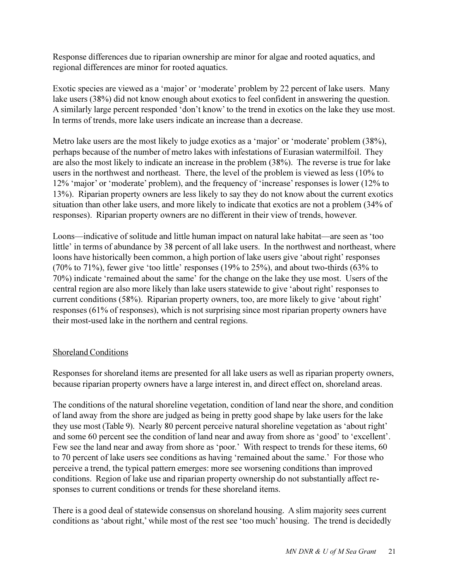Response differences due to riparian ownership are minor for algae and rooted aquatics, and regional differences are minor for rooted aquatics.

Exotic species are viewed as a 'major' or 'moderate' problem by 22 percent of lake users. Many lake users (38%) did not know enough about exotics to feel confident in answering the question. A similarly large percent responded 'don't know' to the trend in exotics on the lake they use most. In terms of trends, more lake users indicate an increase than a decrease.

Metro lake users are the most likely to judge exotics as a 'major' or 'moderate' problem (38%), perhaps because of the number of metro lakes with infestations of Eurasian watermilfoil. They are also the most likely to indicate an increase in the problem (38%). The reverse is true for lake users in the northwest and northeast. There, the level of the problem is viewed as less (10% to 12% 'major' or 'moderate' problem), and the frequency of 'increase' responses is lower (12% to 13%). Riparian property owners are less likely to say they do not know about the current exotics situation than other lake users, and more likely to indicate that exotics are not a problem (34% of responses). Riparian property owners are no different in their view of trends, however.

Loons—indicative of solitude and little human impact on natural lake habitat—are seen as 'too little' in terms of abundance by 38 percent of all lake users. In the northwest and northeast, where loons have historically been common, a high portion of lake users give 'about right' responses (70% to 71%), fewer give 'too little' responses (19% to 25%), and about two-thirds  $(63\%$  to 70%) indicate 'remained about the same' for the change on the lake they use most. Users of the central region are also more likely than lake users statewide to give 'about right' responses to current conditions (58%). Riparian property owners, too, are more likely to give 'about right' responses (61% of responses), which is not surprising since most riparian property owners have their most-used lake in the northern and central regions.

#### Shoreland Conditions

Responses for shoreland items are presented for all lake users as well as riparian property owners, because riparian property owners have a large interest in, and direct effect on, shoreland areas.

The conditions of the natural shoreline vegetation, condition of land near the shore, and condition of land away from the shore are judged as being in pretty good shape by lake users for the lake they use most (Table 9). Nearly 80 percent perceive natural shoreline vegetation as 'about right' and some 60 percent see the condition of land near and away from shore as 'good' to 'excellent'. Few see the land near and away from shore as 'poor.' With respect to trends for these items, 60 to 70 percent of lake users see conditions as having 'remained about the same.' For those who perceive a trend, the typical pattern emerges: more see worsening conditions than improved conditions. Region of lake use and riparian property ownership do not substantially affect responses to current conditions or trends for these shoreland items.

There is a good deal of statewide consensus on shoreland housing. A slim majority sees current conditions as 'about right,' while most of the rest see 'too much' housing. The trend is decidedly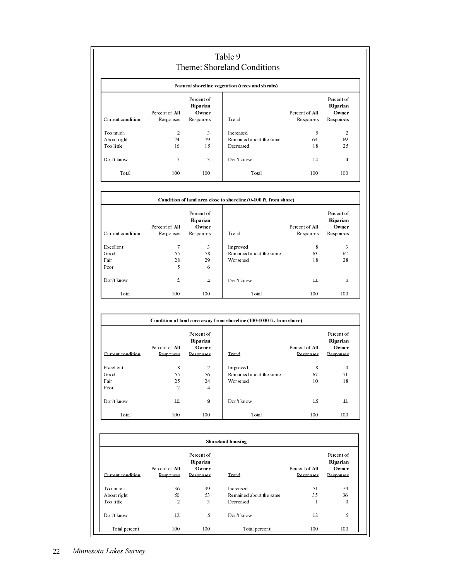|                           |                             |                                 | Theme: Shoreland Conditions                                          |                             |                                 |
|---------------------------|-----------------------------|---------------------------------|----------------------------------------------------------------------|-----------------------------|---------------------------------|
|                           |                             |                                 | Natural shoreline vegetation (trees and shrubs)                      |                             |                                 |
|                           | Percent of All              | Percent of<br>Riparian<br>Owner |                                                                      | Percent of All              | Percent of<br>Riparian<br>Owner |
| Current condition         | Responses                   | Responses                       | Trend                                                                | Responses                   | Responses                       |
| Too much                  | $\overline{2}$              | 3                               | In creased                                                           | 5                           | $\overline{2}$                  |
| About right               | 74                          | 79                              | Remained about the same                                              | 64                          | 69                              |
| Too little                | 16                          | 15                              | Decreased                                                            | 18                          | 25                              |
| Don't know                | $\overline{1}$              | $\overline{a}$                  | Don't know                                                           | $\overline{14}$             | $\overline{4}$                  |
| Total                     | 100                         | 100                             | Total                                                                | 100                         | 100                             |
|                           |                             |                                 | Condition of land area close to shoreline (0-100 ft. from shore)     |                             |                                 |
|                           |                             | Percent of                      |                                                                      |                             | Percent of                      |
|                           |                             | Riparian                        |                                                                      |                             | Riparian                        |
| Current condition         | Percent of All<br>Responses | Owner<br>Responses<br>Trend     |                                                                      | Percent of All<br>Responses | Owner<br>Responses              |
|                           |                             |                                 |                                                                      |                             |                                 |
| Excellent                 | $\overline{7}$              | 3                               | Improved                                                             | 8                           | 3                               |
| Good                      | 55                          | 58                              | Remained about the same                                              | 63                          | 62                              |
| Fair                      | 28                          | 29                              | Worsened                                                             | 18                          | 28                              |
| Poor                      | 5                           | 6                               |                                                                      |                             |                                 |
| Don't know                | 5                           | 4                               | Don't know                                                           | $\overline{11}$             | $\mathcal{I}$                   |
| Total                     | 100                         | 100                             | <b>T</b> otal                                                        | 100                         | 100                             |
|                           |                             | Percent of                      | Condition of land area away from shoreline (100-1000 ft. from shore) |                             | Percent of                      |
|                           |                             | Riparian                        |                                                                      |                             | Riparian                        |
|                           | Percent of All              | Owner                           |                                                                      | Percent of All              | Owner                           |
| Current condition         | Responses                   | Responses                       | Trend                                                                | Responses                   | Responses                       |
| Excellent                 | 8                           | $\overline{7}$                  | Improved                                                             | 8                           | $\mathbf{0}$                    |
| Good                      | 55                          | 56                              | Remained about the same                                              | 67                          | 71                              |
| Fair                      | 25                          | 24                              | Worsened                                                             | 10                          | 18                              |
| Poor                      | $\overline{c}$              | $\overline{4}$                  |                                                                      |                             |                                 |
| Don't know                | $10$                        | Q                               | Don't know                                                           | 15                          | $\overline{11}$                 |
| Total                     | 100                         | 100                             | Total                                                                | 100                         | 100                             |
|                           |                             |                                 | Shoreland housing                                                    |                             |                                 |
|                           |                             | Percent of                      |                                                                      |                             | Percent of                      |
|                           |                             | Riparian                        |                                                                      |                             | Riparian                        |
|                           | Percent of All              | Owner                           |                                                                      | Percent of All              | Owner                           |
| Current condition         | Responses                   | Responses                       | Trend                                                                | Responses                   | Responses                       |
|                           |                             |                                 |                                                                      |                             |                                 |
| Too much                  | 36                          | 39                              | Increased                                                            | 51                          | 59                              |
| About right<br>Too little | 50<br>$\overline{2}$        | 53                              | Remained about the same                                              | 35                          | 36                              |
|                           |                             | 3                               | Decreased                                                            | -1                          | $\boldsymbol{0}$                |
|                           |                             |                                 |                                                                      |                             |                                 |
| Don't know                | 12                          | 5.                              | Don't know                                                           | 13                          | 5.                              |
| Total percent             | 100                         | 100                             | Total percent                                                        | 100                         | 100                             |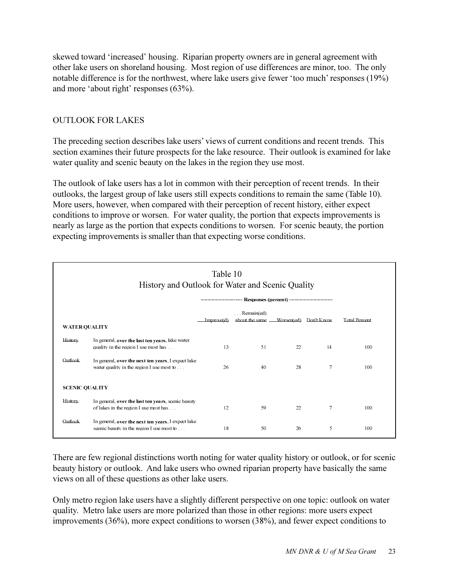skewed toward increased housing. Riparian property owners are in general agreement with other lake users on shoreland housing. Most region of use differences are minor, too. The only notable difference is for the northwest, where lake users give fewer 'too much' responses (19%) and more 'about right' responses  $(63\%)$ .

#### OUTLOOK FOR LAKES

The preceding section describes lake users' views of current conditions and recent trends. This section examines their future prospects for the lake resource. Their outlook is examined for lake water quality and scenic beauty on the lakes in the region they use most.

The outlook of lake users has a lot in common with their perception of recent trends. In their outlooks, the largest group of lake users still expects conditions to remain the same (Table 10). More users, however, when compared with their perception of recent history, either expect conditions to improve or worsen. For water quality, the portion that expects improvements is nearly as large as the portion that expects conditions to worsen. For scenic beauty, the portion expecting improvements is smaller than that expecting worse conditions.

|         | Table 10<br>History and Outlook for Water and Scenic Quality<br>------------------------ Responses (percent) -------------------------- |    |    |    |    |     |  |  |  |  |  |
|---------|-----------------------------------------------------------------------------------------------------------------------------------------|----|----|----|----|-----|--|--|--|--|--|
|         | $\ldots$ Remain(ed)<br>about the same -<br>Worsen(ed) Don't Know<br>Total Percent<br>Improve(d)<br><b>WATER QUALITY</b>                 |    |    |    |    |     |  |  |  |  |  |
| History | In general, over the last ten years, lake water<br>quality in the region I use most has                                                 | 13 | 51 | 22 | 14 | 100 |  |  |  |  |  |
| Qutlook | In general, over the next ten years, I expect lake<br>water quality in the region I use most to                                         | 26 | 40 | 28 | 7  | 100 |  |  |  |  |  |
|         | <b>SCENIC QUALITY</b>                                                                                                                   |    |    |    |    |     |  |  |  |  |  |
| History | In general, over the last ten years, scenic beauty<br>of lakes in the region I use most has                                             | 12 | 59 | 22 | 7  | 100 |  |  |  |  |  |
| Outlook | In general, over the next ten years, I expect lake<br>scenic beauty in the region I use most to                                         | 18 | 50 | 26 | 5  | 100 |  |  |  |  |  |

There are few regional distinctions worth noting for water quality history or outlook, or for scenic beauty history or outlook. And lake users who owned riparian property have basically the same views on all of these questions as other lake users.

Only metro region lake users have a slightly different perspective on one topic: outlook on water quality. Metro lake users are more polarized than those in other regions: more users expect improvements (36%), more expect conditions to worsen (38%), and fewer expect conditions to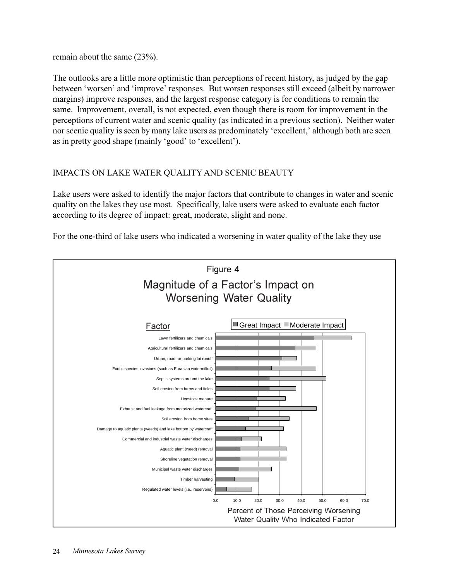remain about the same (23%).

The outlooks are a little more optimistic than perceptions of recent history, as judged by the gap between 'worsen' and 'improve' responses. But worsen responses still exceed (albeit by narrower margins) improve responses, and the largest response category is for conditions to remain the same. Improvement, overall, is not expected, even though there is room for improvement in the perceptions of current water and scenic quality (as indicated in a previous section). Neither water nor scenic quality is seen by many lake users as predominately 'excellent,' although both are seen as in pretty good shape (mainly 'good' to 'excellent').

### IMPACTS ON LAKE WATER QUALITY AND SCENIC BEAUTY

Lake users were asked to identify the major factors that contribute to changes in water and scenic quality on the lakes they use most. Specifically, lake users were asked to evaluate each factor according to its degree of impact: great, moderate, slight and none.

For the one-third of lake users who indicated a worsening in water quality of the lake they use

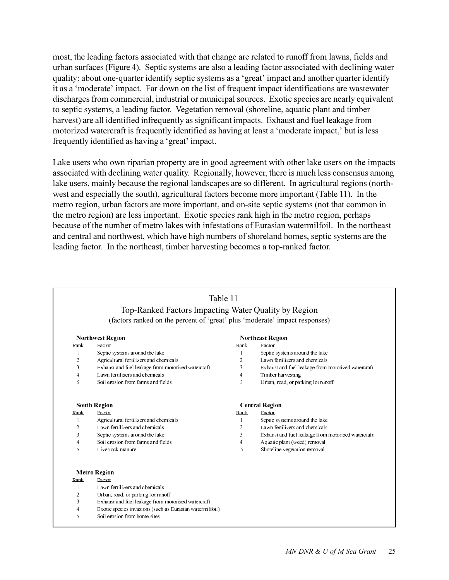most, the leading factors associated with that change are related to runoff from lawns, fields and urban surfaces (Figure 4). Septic systems are also a leading factor associated with declining water quality: about one-quarter identify septic systems as a 'great' impact and another quarter identify it as a 'moderate' impact. Far down on the list of frequent impact identifications are wastewater discharges from commercial, industrial or municipal sources. Exotic species are nearly equivalent to septic systems, a leading factor. Vegetation removal (shoreline, aquatic plant and timber harvest) are all identified infrequently as significant impacts. Exhaust and fuel leakage from motorized watercraft is frequently identified as having at least a 'moderate impact,' but is less frequently identified as having a 'great' impact.

Lake users who own riparian property are in good agreement with other lake users on the impacts associated with declining water quality. Regionally, however, there is much less consensus among lake users, mainly because the regional landscapes are so different. In agricultural regions (northwest and especially the south), agricultural factors become more important (Table 11). In the metro region, urban factors are more important, and on-site septic systems (not that common in the metro region) are less important. Exotic species rank high in the metro region, perhaps because of the number of metro lakes with infestations of Eurasian watermilfoil. In the northeast and central and northwest, which have high numbers of shoreland homes, septic systems are the leading factor. In the northeast, timber harvesting becomes a top-ranked factor.

| Table 11<br>Top-Ranked Factors Impacting Water Quality by Region |                                                                             |                |                                                    |  |  |  |  |  |  |
|------------------------------------------------------------------|-----------------------------------------------------------------------------|----------------|----------------------------------------------------|--|--|--|--|--|--|
|                                                                  | (factors ranked on the percent of 'great' plus 'moderate' impact responses) |                |                                                    |  |  |  |  |  |  |
|                                                                  | <b>Northwest Region</b>                                                     |                | <b>Northeast Region</b>                            |  |  |  |  |  |  |
| Rank                                                             | Eactor                                                                      | Rank           | Eactor                                             |  |  |  |  |  |  |
| 1                                                                | Septic systems around the lake                                              | $\mathbf{1}$   | Septic systems around the lake                     |  |  |  |  |  |  |
| $\overline{c}$                                                   | Agricultural fertilizers and chemicals                                      | 2              | Lawn fertilizers and chemicals                     |  |  |  |  |  |  |
| 3                                                                | Exhaust and fuel leakage from motorized watercraft                          | 3              | Exhaust and fuel leakage from motorized watercraft |  |  |  |  |  |  |
| $\overline{4}$                                                   | Lawn fertilizers and chemicals                                              | 4              | Timber harvesting                                  |  |  |  |  |  |  |
| 5                                                                | Soil erosion from farms and fields                                          | 5              | Urban, road, or parking lot runoff                 |  |  |  |  |  |  |
|                                                                  | <b>South Region</b>                                                         |                | <b>Central Region</b>                              |  |  |  |  |  |  |
| Rank                                                             | Eactor                                                                      | Rank           | Eactor                                             |  |  |  |  |  |  |
| $\mathbf{1}$                                                     | Agricultural fertilizers and chemicals                                      | $\mathbf{1}$   | Septic systems around the lake                     |  |  |  |  |  |  |
| $\overline{2}$                                                   | Lawn fertilizers and chemicals                                              | $\overline{2}$ | Lawn fertilizers and chemicals                     |  |  |  |  |  |  |
| 3                                                                | Septic systems around the lake                                              | 3              | Exhaust and fuel leakage from motorized watercraft |  |  |  |  |  |  |
| $\overline{4}$                                                   | Soil erosion from farms and fields                                          | 4              | Aquatic plant (weed) removal                       |  |  |  |  |  |  |
| 5                                                                | Livestock manure                                                            | 5              | Shoreline vegetation removal                       |  |  |  |  |  |  |
|                                                                  | <b>Metro Region</b>                                                         |                |                                                    |  |  |  |  |  |  |
| Rank                                                             | Factor                                                                      |                |                                                    |  |  |  |  |  |  |
| 1                                                                | Lawn fertilizers and chemicals                                              |                |                                                    |  |  |  |  |  |  |
| 2                                                                | Urban, road, or parking lot runoff                                          |                |                                                    |  |  |  |  |  |  |
| 3                                                                | Exhaust and fuel leakage from motorized watercraft                          |                |                                                    |  |  |  |  |  |  |
| $\overline{4}$                                                   | Exotic species invasions (such as Eurasian watermilfoil)                    |                |                                                    |  |  |  |  |  |  |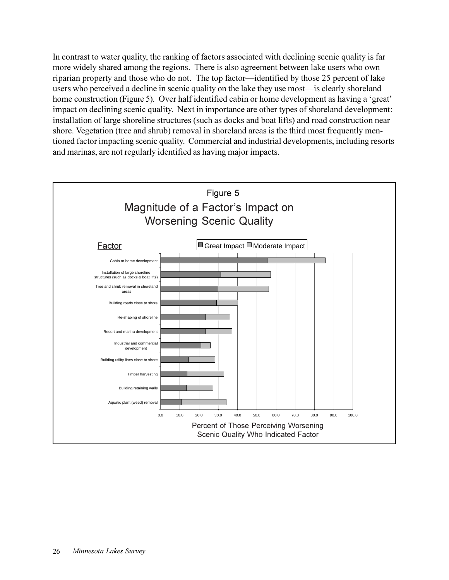In contrast to water quality, the ranking of factors associated with declining scenic quality is far more widely shared among the regions. There is also agreement between lake users who own riparian property and those who do not. The top factor—identified by those 25 percent of lake users who perceived a decline in scenic quality on the lake they use most—is clearly shoreland home construction (Figure 5). Over half identified cabin or home development as having a 'great' impact on declining scenic quality. Next in importance are other types of shoreland development: installation of large shoreline structures (such as docks and boat lifts) and road construction near shore. Vegetation (tree and shrub) removal in shoreland areas is the third most frequently mentioned factor impacting scenic quality. Commercial and industrial developments, including resorts and marinas, are not regularly identified as having major impacts.

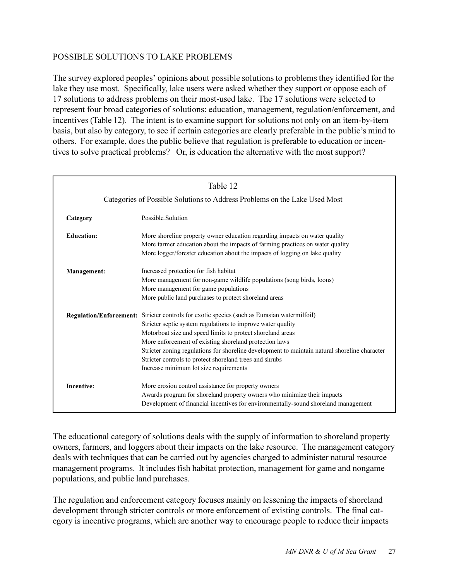#### POSSIBLE SOLUTIONS TO LAKE PROBLEMS

The survey explored peoples' opinions about possible solutions to problems they identified for the lake they use most. Specifically, lake users were asked whether they support or oppose each of 17 solutions to address problems on their most-used lake. The 17 solutions were selected to represent four broad categories of solutions: education, management, regulation/enforcement, and incentives (Table 12). The intent is to examine support for solutions not only on an item-by-item basis, but also by category, to see if certain categories are clearly preferable in the public's mind to others. For example, does the public believe that regulation is preferable to education or incentives to solve practical problems? Or, is education the alternative with the most support?

|                   | Table 12                                                                                                                                                                                                                                                                                                                                                                                                                                                                                  |  |  |  |  |  |  |
|-------------------|-------------------------------------------------------------------------------------------------------------------------------------------------------------------------------------------------------------------------------------------------------------------------------------------------------------------------------------------------------------------------------------------------------------------------------------------------------------------------------------------|--|--|--|--|--|--|
|                   | Categories of Possible Solutions to Address Problems on the Lake Used Most                                                                                                                                                                                                                                                                                                                                                                                                                |  |  |  |  |  |  |
| Category          | <b>Possible Solution</b>                                                                                                                                                                                                                                                                                                                                                                                                                                                                  |  |  |  |  |  |  |
| <b>Education:</b> | More shoreline property owner education regarding impacts on water quality<br>More farmer education about the impacts of farming practices on water quality<br>More logger/forester education about the impacts of logging on lake quality                                                                                                                                                                                                                                                |  |  |  |  |  |  |
| Management:       | Increased protection for fish habitat<br>More management for non-game wildlife populations (song birds, loons)<br>More management for game populations<br>More public land purchases to protect shoreland areas                                                                                                                                                                                                                                                                           |  |  |  |  |  |  |
|                   | Regulation/Enforcement: Stricter controls for exotic species (such as Eurasian watermilfoil)<br>Stricter septic system regulations to improve water quality<br>Motorboat size and speed limits to protect shoreland areas<br>More enforcement of existing shoreland protection laws<br>Stricter zoning regulations for shoreline development to maintain natural shoreline character<br>Stricter controls to protect shoreland trees and shrubs<br>Increase minimum lot size requirements |  |  |  |  |  |  |
| <b>Incentive:</b> | More erosion control assistance for property owners<br>Awards program for shoreland property owners who minimize their impacts<br>Development of financial incentives for environmentally-sound shoreland management                                                                                                                                                                                                                                                                      |  |  |  |  |  |  |

The educational category of solutions deals with the supply of information to shoreland property owners, farmers, and loggers about their impacts on the lake resource. The management category deals with techniques that can be carried out by agencies charged to administer natural resource management programs. It includes fish habitat protection, management for game and nongame populations, and public land purchases.

The regulation and enforcement category focuses mainly on lessening the impacts of shoreland development through stricter controls or more enforcement of existing controls. The final category is incentive programs, which are another way to encourage people to reduce their impacts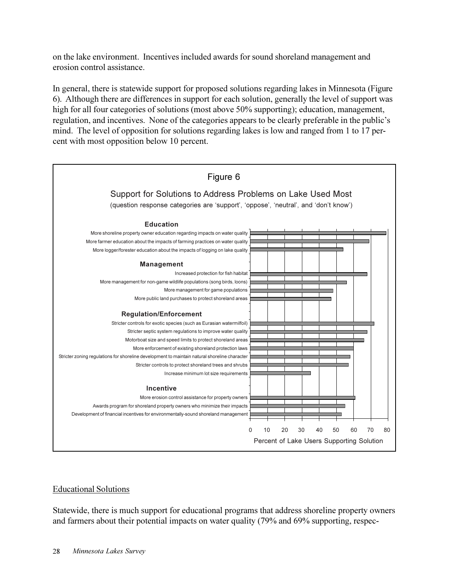on the lake environment. Incentives included awards for sound shoreland management and erosion control assistance.

In general, there is statewide support for proposed solutions regarding lakes in Minnesota (Figure 6). Although there are differences in support for each solution, generally the level of support was high for all four categories of solutions (most above 50% supporting); education, management, regulation, and incentives. None of the categories appears to be clearly preferable in the public's mind. The level of opposition for solutions regarding lakes is low and ranged from 1 to 17 percent with most opposition below 10 percent.



#### Educational Solutions

Statewide, there is much support for educational programs that address shoreline property owners and farmers about their potential impacts on water quality (79% and 69% supporting, respec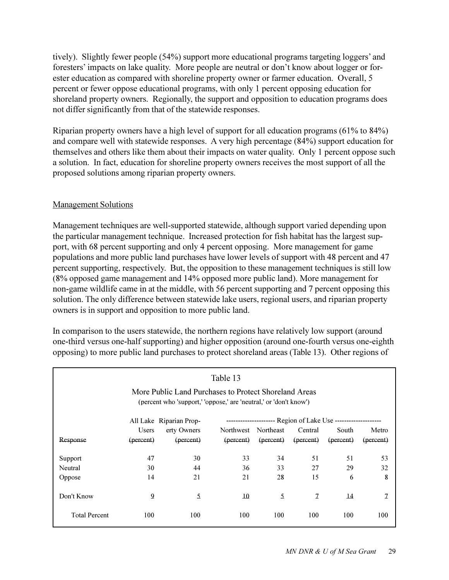tively). Slightly fewer people (54%) support more educational programs targeting loggers' and foresters' impacts on lake quality. More people are neutral or don't know about logger or forester education as compared with shoreline property owner or farmer education. Overall, 5 percent or fewer oppose educational programs, with only 1 percent opposing education for shoreland property owners. Regionally, the support and opposition to education programs does not differ significantly from that of the statewide responses.

Riparian property owners have a high level of support for all education programs (61% to 84%) and compare well with statewide responses. A very high percentage (84%) support education for themselves and others like them about their impacts on water quality. Only 1 percent oppose such a solution. In fact, education for shoreline property owners receives the most support of all the proposed solutions among riparian property owners.

#### Management Solutions

Management techniques are well-supported statewide, although support varied depending upon the particular management technique. Increased protection for fish habitat has the largest support, with 68 percent supporting and only 4 percent opposing. More management for game populations and more public land purchases have lower levels of support with 48 percent and 47 percent supporting, respectively. But, the opposition to these management techniques is still low (8% opposed game management and 14% opposed more public land). More management for non-game wildlife came in at the middle, with 56 percent supporting and 7 percent opposing this solution. The only difference between statewide lake users, regional users, and riparian property owners is in support and opposition to more public land.

In comparison to the users statewide, the northern regions have relatively low support (around one-third versus one-half supporting) and higher opposition (around one-fourth versus one-eighth opposing) to more public land purchases to protect shoreland areas (Table 13). Other regions of

| Table 13<br>More Public Land Purchases to Protect Shoreland Areas<br>(percent who 'support,' 'oppose,' are 'neutral,' or 'don't know') |              |                         |                 |                                                          |               |                 |              |
|----------------------------------------------------------------------------------------------------------------------------------------|--------------|-------------------------|-----------------|----------------------------------------------------------|---------------|-----------------|--------------|
|                                                                                                                                        |              | All Lake Riparian Prop- |                 | --------------------- Region of Lake Use --------------- |               |                 |              |
|                                                                                                                                        | <b>Users</b> | erty Owners             |                 | Northwest Northeast                                      | Central       | South           | Metro        |
| Response                                                                                                                               | (percent)    | (percent)               | (percent)       | (percent)                                                | (percent)     | (percent)       | (percent)    |
| Support                                                                                                                                | 47           | 30                      | 33              | 34                                                       | 51            | 51              | 53           |
| Neutral                                                                                                                                | 30           | 44                      | 36              | 33                                                       | 27            | 29              | 32           |
| Oppose                                                                                                                                 | 14           | 21                      | 21              | 28                                                       | 15            | 6               | 8            |
| Don't Know                                                                                                                             | $\mathbf{Q}$ | $\mathfrak{S}$          | $\overline{10}$ | 5                                                        | $\mathcal{I}$ | $\overline{14}$ | $\mathcal I$ |
| <b>Total Percent</b>                                                                                                                   | 100          | 100                     | 100             | 100                                                      | 100           | 100             | 100          |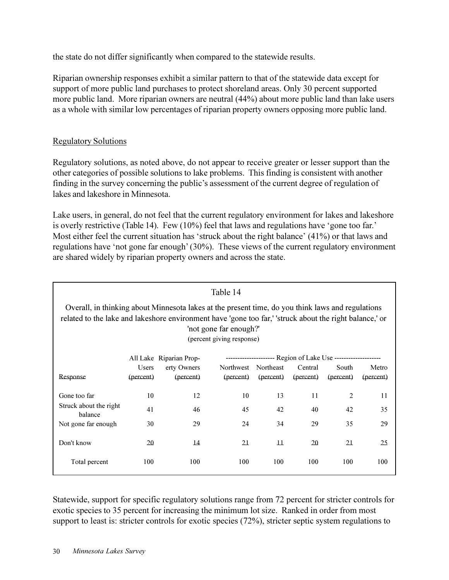the state do not differ significantly when compared to the statewide results.

Riparian ownership responses exhibit a similar pattern to that of the statewide data except for support of more public land purchases to protect shoreland areas. Only 30 percent supported more public land. More riparian owners are neutral (44%) about more public land than lake users as a whole with similar low percentages of riparian property owners opposing more public land.

#### Regulatory Solutions

Regulatory solutions, as noted above, do not appear to receive greater or lesser support than the other categories of possible solutions to lake problems. This finding is consistent with another finding in the survey concerning the public's assessment of the current degree of regulation of lakes and lakeshore in Minnesota.

Lake users, in general, do not feel that the current regulatory environment for lakes and lakeshore is overly restrictive (Table 14). Few  $(10\%)$  feel that laws and regulations have 'gone too far.' Most either feel the current situation has 'struck about the right balance'  $(41\%)$  or that laws and regulations have 'not gone far enough' (30%). These views of the current regulatory environment are shared widely by riparian property owners and across the state.

| Table 14                                                                                                                                                                                                                                                            |              |                 |           |                     |           |           |           |
|---------------------------------------------------------------------------------------------------------------------------------------------------------------------------------------------------------------------------------------------------------------------|--------------|-----------------|-----------|---------------------|-----------|-----------|-----------|
| Overall, in thinking about Minnesota lakes at the present time, do you think laws and regulations<br>related to the lake and lakeshore environment have 'gone too far,' 'struck about the right balance,' or<br>'not gone far enough?'<br>(percent giving response) |              |                 |           |                     |           |           |           |
| -------------------- Region of Lake Use --------------------<br>All Lake Riparian Prop-                                                                                                                                                                             |              |                 |           |                     |           |           |           |
|                                                                                                                                                                                                                                                                     | <b>Users</b> | erty Owners     |           | Northwest Northeast | Central   | South     | Metro     |
| Response                                                                                                                                                                                                                                                            | (percent)    | (percent)       | (percent) | (percent)           | (percent) | (percent) | (percent) |
| Gone too far                                                                                                                                                                                                                                                        | 10           | 12              | 10        | 13                  | 11        | 2         | 11        |
| Struck about the right<br>balance                                                                                                                                                                                                                                   | 41           | 46              | 45        | 42                  | 40        | 42        | 35        |
| Not gone far enough                                                                                                                                                                                                                                                 | 30           | 29              | 24        | 34                  | 29        | 35        | 29        |
| Don't know                                                                                                                                                                                                                                                          | 20           | $\overline{14}$ | 21        | $\overline{11}$     | 20        | 21        | 25        |
| Total percent                                                                                                                                                                                                                                                       | 100          | 100             | 100       | 100                 | 100       | 100       | 100       |

Statewide, support for specific regulatory solutions range from 72 percent for stricter controls for exotic species to 35 percent for increasing the minimum lot size. Ranked in order from most support to least is: stricter controls for exotic species (72%), stricter septic system regulations to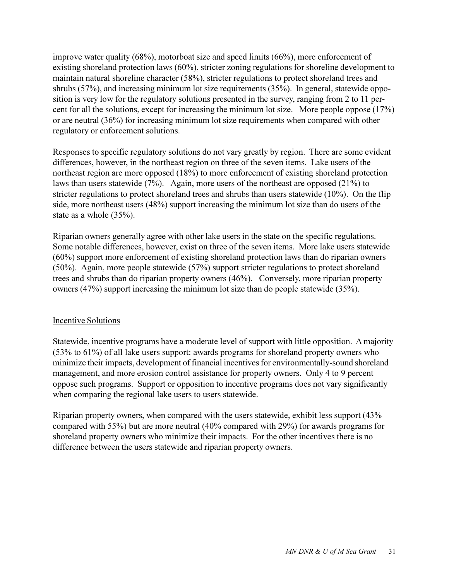improve water quality (68%), motorboat size and speed limits (66%), more enforcement of existing shoreland protection laws (60%), stricter zoning regulations for shoreline development to maintain natural shoreline character (58%), stricter regulations to protect shoreland trees and shrubs (57%), and increasing minimum lot size requirements (35%). In general, statewide opposition is very low for the regulatory solutions presented in the survey, ranging from 2 to 11 percent for all the solutions, except for increasing the minimum lot size. More people oppose (17%) or are neutral (36%) for increasing minimum lot size requirements when compared with other regulatory or enforcement solutions.

Responses to specific regulatory solutions do not vary greatly by region. There are some evident differences, however, in the northeast region on three of the seven items. Lake users of the northeast region are more opposed (18%) to more enforcement of existing shoreland protection laws than users statewide (7%). Again, more users of the northeast are opposed (21%) to stricter regulations to protect shoreland trees and shrubs than users statewide (10%). On the flip side, more northeast users (48%) support increasing the minimum lot size than do users of the state as a whole (35%).

Riparian owners generally agree with other lake users in the state on the specific regulations. Some notable differences, however, exist on three of the seven items. More lake users statewide (60%) support more enforcement of existing shoreland protection laws than do riparian owners (50%). Again, more people statewide (57%) support stricter regulations to protect shoreland trees and shrubs than do riparian property owners (46%). Conversely, more riparian property owners (47%) support increasing the minimum lot size than do people statewide (35%).

#### Incentive Solutions

Statewide, incentive programs have a moderate level of support with little opposition. A majority (53% to 61%) of all lake users support: awards programs for shoreland property owners who minimize their impacts, development of financial incentives for environmentally-sound shoreland management, and more erosion control assistance for property owners. Only 4 to 9 percent oppose such programs. Support or opposition to incentive programs does not vary significantly when comparing the regional lake users to users statewide.

Riparian property owners, when compared with the users statewide, exhibit less support (43% compared with 55%) but are more neutral (40% compared with 29%) for awards programs for shoreland property owners who minimize their impacts. For the other incentives there is no difference between the users statewide and riparian property owners.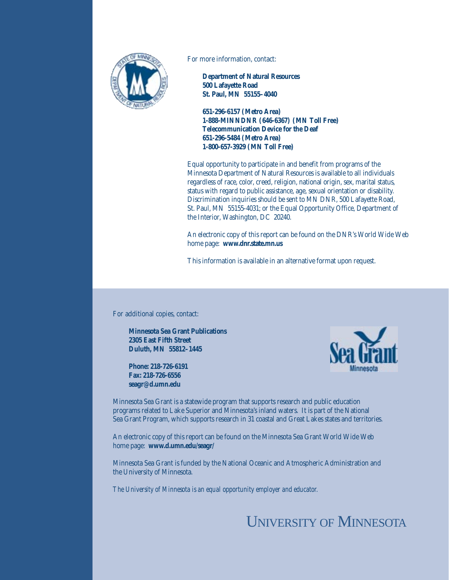

For more information, contact:

**Department of Natural Resources 500 Lafayette Road St. Paul, MN 55155–4040**

**651-296-6157 (Metro Area) 1-888-MINNDNR (646-6367) (MN Toll Free) Telecommunication Device for the Deaf 651-296-5484 (Metro Area) 1-800-657-3929 (MN Toll Free)**

Equal opportunity to participate in and benefit from programs of the Minnesota Department of Natural Resources is available to all individuals regardless of race, color, creed, religion, national origin, sex, marital status, status with regard to public assistance, age, sexual orientation or disability. Discrimination inquiries should be sent to MN DNR, 500 Lafayette Road, St. Paul, MN 55155-4031; or the Equal Opportunity Office, Department of the Interior, Washington, DC 20240.

An electronic copy of this report can be found on the DNR's World Wide Web home page: **www.dnr.state.mn.us**

This information is available in an alternative format upon request.

For additional copies, contact:

**Minnesota Sea Grant Publications 2305 East Fifth Street Duluth, MN 55812–1445**

**Phone: 218-726-6191 Fax: 218-726-6556 seagr@d.umn.edu**



Minnesota Sea Grant is a statewide program that supports research and public education programs related to Lake Superior and Minnesota's inland waters. It is part of the National Sea Grant Program, which supports research in 31 coastal and Great Lakes states and territories.

An electronic copy of this report can be found on the Minnesota Sea Grant World Wide Web home page: **www.d.umn.edu/seagr/**

Minnesota Sea Grant is funded by the National Oceanic and Atmospheric Administration and the University of Minnesota.

*The University of Minnesota is an equal opportunity employer and educator.*

# UNIVERSITY OF MINNESOTA